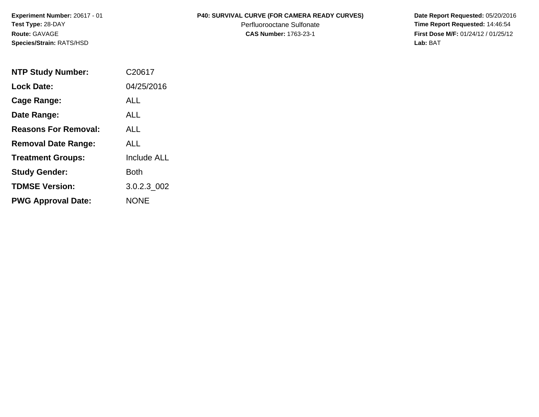**Species/Strain:** RATS/HSD **Lab:** BAT

## **Experiment Number:** 20617 - 01 **P40: SURVIVAL CURVE (FOR CAMERA READY CURVES) Date Report Requested:** 05/20/2016

**Test Type: 28-DAY Perfluorooctane Sulfonate Time Report Requested: 14:46:54 Route:** GAVAGE **CAS Number:** 1763-23-1 **First Dose M/F:** 01/24/12 / 01/25/12

| <b>NTP Study Number:</b>    | C <sub>20617</sub> |
|-----------------------------|--------------------|
| <b>Lock Date:</b>           | 04/25/2016         |
| Cage Range:                 | ALL                |
| Date Range:                 | AI I               |
| <b>Reasons For Removal:</b> | AI I               |
| <b>Removal Date Range:</b>  | ALL                |
| <b>Treatment Groups:</b>    | <b>Include ALL</b> |
| <b>Study Gender:</b>        | Both               |
| <b>TDMSE Version:</b>       | 3.0.2.3 002        |
| <b>PWG Approval Date:</b>   | <b>NONE</b>        |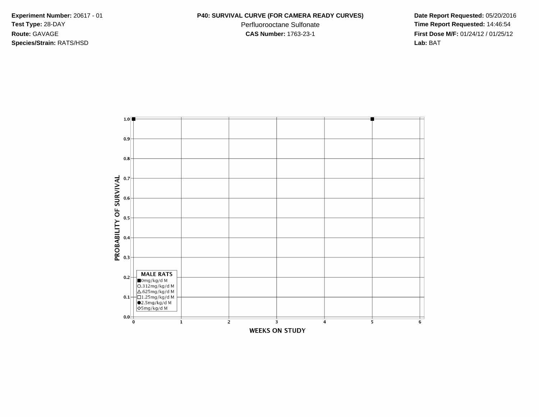**Species/Strain:** RATS/HSD **Lab:** BAT

Test Type: 28-DAY **Perfluorooctane Sulfonate Perfluorooctane Sulfonate Time Report Requested:** 14:46:54 **Route:** GAVAGE **CAS Number:** 1763-23-1 **First Dose M/F:** 01/24/12 / 01/25/12